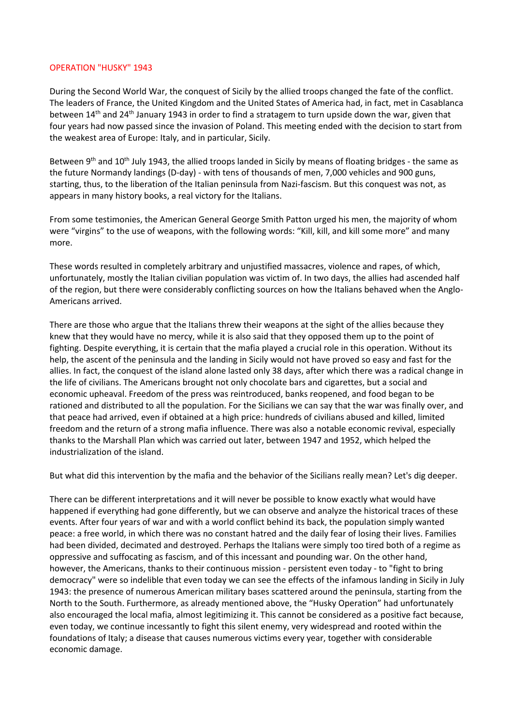## OPERATION "HUSKY" 1943

During the Second World War, the conquest of Sicily by the allied troops changed the fate of the conflict. The leaders of France, the United Kingdom and the United States of America had, in fact, met in Casablanca between 14<sup>th</sup> and 24<sup>th</sup> January 1943 in order to find a stratagem to turn upside down the war, given that four years had now passed since the invasion of Poland. This meeting ended with the decision to start from the weakest area of Europe: Italy, and in particular, Sicily.

Between 9<sup>th</sup> and 10<sup>th</sup> July 1943, the allied troops landed in Sicily by means of floating bridges - the same as the future Normandy landings (D-day) - with tens of thousands of men, 7,000 vehicles and 900 guns, starting, thus, to the liberation of the Italian peninsula from Nazi-fascism. But this conquest was not, as appears in many history books, a real victory for the Italians.

From some testimonies, the American General George Smith Patton urged his men, the majority of whom were "virgins" to the use of weapons, with the following words: "Kill, kill, and kill some more" and many more.

These words resulted in completely arbitrary and unjustified massacres, violence and rapes, of which, unfortunately, mostly the Italian civilian population was victim of. In two days, the allies had ascended half of the region, but there were considerably conflicting sources on how the Italians behaved when the Anglo-Americans arrived.

There are those who argue that the Italians threw their weapons at the sight of the allies because they knew that they would have no mercy, while it is also said that they opposed them up to the point of fighting. Despite everything, it is certain that the mafia played a crucial role in this operation. Without its help, the ascent of the peninsula and the landing in Sicily would not have proved so easy and fast for the allies. In fact, the conquest of the island alone lasted only 38 days, after which there was a radical change in the life of civilians. The Americans brought not only chocolate bars and cigarettes, but a social and economic upheaval. Freedom of the press was reintroduced, banks reopened, and food began to be rationed and distributed to all the population. For the Sicilians we can say that the war was finally over, and that peace had arrived, even if obtained at a high price: hundreds of civilians abused and killed, limited freedom and the return of a strong mafia influence. There was also a notable economic revival, especially thanks to the Marshall Plan which was carried out later, between 1947 and 1952, which helped the industrialization of the island.

But what did this intervention by the mafia and the behavior of the Sicilians really mean? Let's dig deeper.

There can be different interpretations and it will never be possible to know exactly what would have happened if everything had gone differently, but we can observe and analyze the historical traces of these events. After four years of war and with a world conflict behind its back, the population simply wanted peace: a free world, in which there was no constant hatred and the daily fear of losing their lives. Families had been divided, decimated and destroyed. Perhaps the Italians were simply too tired both of a regime as oppressive and suffocating as fascism, and of this incessant and pounding war. On the other hand, however, the Americans, thanks to their continuous mission - persistent even today - to "fight to bring democracy" were so indelible that even today we can see the effects of the infamous landing in Sicily in July 1943: the presence of numerous American military bases scattered around the peninsula, starting from the North to the South. Furthermore, as already mentioned above, the "Husky Operation" had unfortunately also encouraged the local mafia, almost legitimizing it. This cannot be considered as a positive fact because, even today, we continue incessantly to fight this silent enemy, very widespread and rooted within the foundations of Italy; a disease that causes numerous victims every year, together with considerable economic damage.